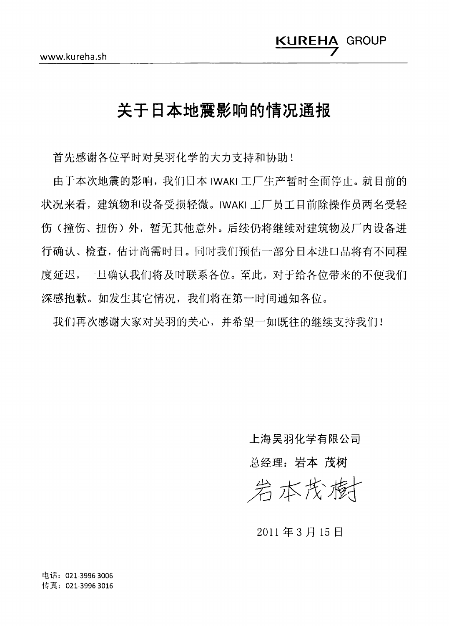## 关于日本地震影响的情况通报

首先感谢各位平时对吴羽化学的大力支持和协助!

由于本次地震的影响,我们日本 IWAKI 工厂生产暂时全面停止。就目前的 状况来看,建筑物和设备受损轻微。IWAKI工厂员工目前除操作员两名受轻 伤(撞伤、扭伤)外,暂无其他意外。后续仍将继续对建筑物及厂内设备进 行确认、检查,估计尚需时日。同时我们预估一部分日本讲口品将有不同程 度延迟,一旦确认我们将及时联系各位。至此,对于给各位带来的不便我们 深感抱歉。如发生其它情况,我们将在第一时间通知各位。

我们再次感谢大家对吴羽的关心,并希望一如既往的继续支持我们!

上海吴羽化学有限公司 总经理: 岩本 茂树 岩本茂梅

## 2011年3月15日